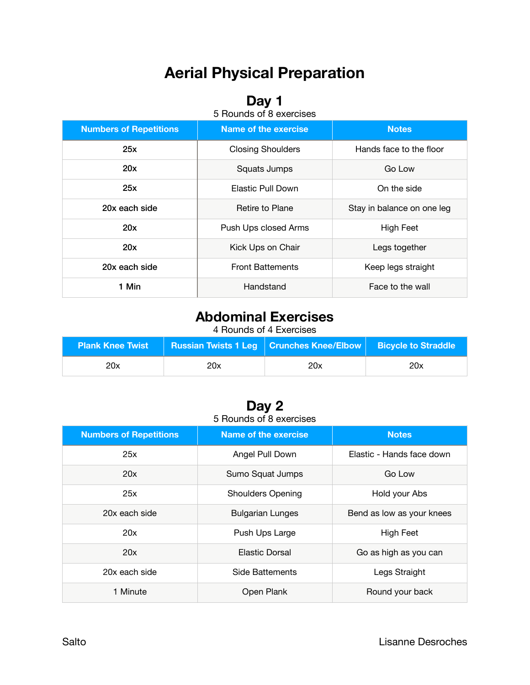# **Aerial Physical Preparation**

### **Day 1**

| 5 Rounds of 8 exercises |  |
|-------------------------|--|
|-------------------------|--|

| <b>Numbers of Repetitions</b> | <b>Name of the exercise</b>                         | <b>Notes</b>  |  |
|-------------------------------|-----------------------------------------------------|---------------|--|
| 25x                           | <b>Closing Shoulders</b><br>Hands face to the floor |               |  |
| 20x                           | Squats Jumps<br>Go Low                              |               |  |
| 25x                           | On the side<br>Elastic Pull Down                    |               |  |
| 20x each side                 | Retire to Plane<br>Stay in balance on one leg       |               |  |
| 20x                           | Push Ups closed Arms<br>High Feet                   |               |  |
| 20x                           | Kick Ups on Chair                                   | Legs together |  |
| 20x each side                 | <b>Front Battements</b><br>Keep legs straight       |               |  |
| 1 Min                         | Handstand<br>Face to the wall                       |               |  |

## **Abdominal Exercises**

4 Rounds of 4 Exercises

| <b>Plank Knee Twist</b> |     | <b>Russian Twists 1 Leg   Crunches Knee/Elbow   Bicycle to Straddle</b> |     |
|-------------------------|-----|-------------------------------------------------------------------------|-----|
| 20x                     | 20x | 20x                                                                     | 20x |

#### **Day 2**  5 Rounds of 8 exercises

| <b>Numbers of Repetitions</b> | Name of the exercise                         | <b>Notes</b>              |  |
|-------------------------------|----------------------------------------------|---------------------------|--|
| 25x                           | Angel Pull Down<br>Elastic - Hands face down |                           |  |
| 20x                           | Sumo Squat Jumps<br>Go Low                   |                           |  |
| 25x                           | <b>Shoulders Opening</b><br>Hold your Abs    |                           |  |
| 20x each side                 | <b>Bulgarian Lunges</b>                      | Bend as low as your knees |  |
| 20x                           | Push Ups Large                               | High Feet                 |  |
| 20x                           | Elastic Dorsal                               | Go as high as you can     |  |
| 20x each side                 | Side Battements<br>Legs Straight             |                           |  |
| 1 Minute                      | Open Plank<br>Round your back                |                           |  |